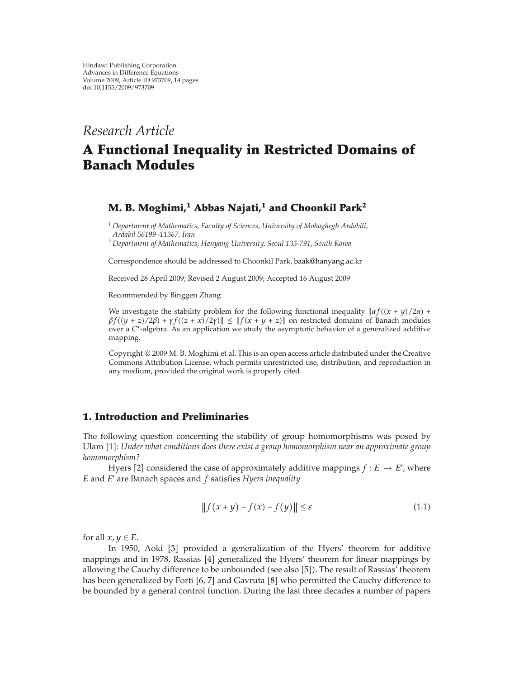## *Research Article*

# **A Functional Inequality in Restricted Domains of Banach Modules**

### **M. B. Moghimi,<sup>1</sup> Abbas Najati,<sup>1</sup> and Choonkil Park2**

*<sup>1</sup> Department of Mathematics, Faculty of Sciences, University of Mohaghegh Ardabili, Ardabil 56199–11367, Iran*

*<sup>2</sup> Department of Mathematics, Hanyang University, Seoul 133-791, South Korea*

Correspondence should be addressed to Choonkil Park, baak@hanyang.ac.kr

Received 28 April 2009; Revised 2 August 2009; Accepted 16 August 2009

Recommended by Binggen Zhang

We investigate the stability problem for the following functional inequality  $\left| \frac{\alpha f(x + y)}{2\alpha} \right|$  +  $\beta f((y + z)/2\beta) + \gamma f((z + x)/2\gamma)$   $\leq$   $\|f(x + y + z)\|$  on restricted domains of Banach modules over a *C*∗-algebra. As an application we study the asymptotic behavior of a generalized additive mapping.

Copyright © 2009 M. B. Moghimi et al. This is an open access article distributed under the Creative Commons Attribution License, which permits unrestricted use, distribution, and reproduction in any medium, provided the original work is properly cited.

#### **1. Introduction and Preliminaries**

The following question concerning the stability of group homomorphisms was posed by Ulam [1]: *Under what conditions does there exist a group homomorphism near an approximate group homomorphism?*

Hyers [2] considered the case of approximately additive mappings  $f : E \to E'$ , where *E* and *E* are Banach spaces and *f* satisfies *Hyers inequality*

$$
|| f(x + y) - f(x) - f(y)|| \le \varepsilon
$$
\n(1.1)

for all  $x, y \in E$ .

In 1950, Aoki [3] provided a generalization of the Hyers' theorem for additive mappings and in 1978, Rassias [4] generalized the Hyers' theorem for linear mappings by allowing the Cauchy difference to be unbounded (see also [5]). The result of Rassias' theorem has been generalized by Forti  $[6, 7]$  and Gavruta  $[8]$  who permitted the Cauchy difference to be bounded by a general control function. During the last three decades a number of papers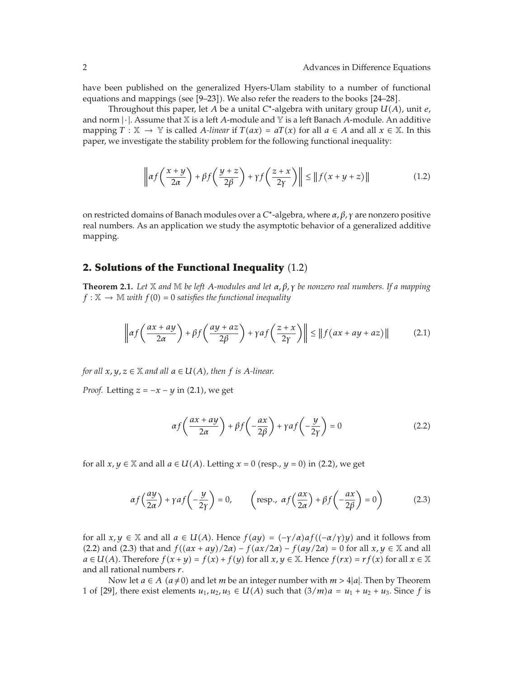have been published on the generalized Hyers-Ulam stability to a number of functional equations and mappings (see  $[9-23]$ ). We also refer the readers to the books  $[24-28]$ .

Throughout this paper, let *A* be a unital *C*∗-algebra with unitary group *UA*, unit *e,* and norm |·|. Assume that <sup>X</sup> is a left *<sup>A</sup>*-module and <sup>Y</sup> is a left Banach *<sup>A</sup>*-module. An additive mapping  $T : \mathbb{X} \to \mathbb{Y}$  is called *A-linear* if  $T(ax) = aT(x)$  for all  $a \in A$  and all  $x \in \mathbb{X}$ . In this paper, we investigate the stability problem for the following functional inequality:

$$
\left\| \alpha f\left(\frac{x+y}{2\alpha}\right) + \beta f\left(\frac{y+z}{2\beta}\right) + \gamma f\left(\frac{z+x}{2\gamma}\right) \right\| \le \left\| f(x+y+z) \right\| \tag{1.2}
$$

on restricted domains of Banach modules over a *C*∗-algebra, where *α, β, γ* are nonzero positive real numbers. As an application we study the asymptotic behavior of a generalized additive mapping.

#### **2. Solutions of the Functional Inequality** (1.2)

**Theorem 2.1.** *Let* X *and* M *be left A-modules and let α, β, γ be nonzero real numbers. If a mapping*  $f : \mathbb{X} \to \mathbb{M}$  *with*  $f(0) = 0$  *satisfies the functional inequality* 

$$
\left\| \alpha f\left(\frac{ax+ay}{2\alpha}\right) + \beta f\left(\frac{ay+az}{2\beta}\right) + \gamma a f\left(\frac{z+x}{2\gamma}\right) \right\| \le \left\| f\left(ax+ay+az\right) \right\| \tag{2.1}
$$

*for all*  $x, y, z \in \mathbb{X}$  *and all*  $a \in U(A)$ *, then*  $f$  *is*  $A$ *-linear.* 

*Proof.* Letting  $z = -x - y$  in (2.1), we get

$$
\alpha f\left(\frac{ax+ay}{2\alpha}\right) + \beta f\left(-\frac{ax}{2\beta}\right) + \gamma af\left(-\frac{y}{2\gamma}\right) = 0\tag{2.2}
$$

for all  $x, y \in \mathbb{X}$  and all  $a \in U(A)$ . Letting  $x = 0$  (resp.,  $y = 0$ ) in (2.2), we get

$$
\alpha f\left(\frac{ay}{2\alpha}\right) + \gamma af\left(-\frac{y}{2\gamma}\right) = 0, \qquad \left(\text{resp., }\alpha f\left(\frac{ax}{2\alpha}\right) + \beta f\left(-\frac{ax}{2\beta}\right) = 0\right) \tag{2.3}
$$

for all  $x, y \in \mathbb{X}$  and all  $a \in U(A)$ . Hence  $f(ay) = (-\gamma/\alpha)af((-a/\gamma)y)$  and it follows from  $(2.2)$  and  $(2.3)$  that and  $f((ax + ay)/2a) - f(ax/2a) - f(ay/2a) = 0$  for all  $x, y \in \mathbb{X}$  and all  $a \in U(A)$ . Therefore  $f(x + y) = f(x) + f(y)$  for all  $x, y \in \mathbb{X}$ . Hence  $f(rx) = rf(x)$  for all  $x \in \mathbb{X}$ and all rational numbers *r*.

Now let  $a \in A$  ( $a \ne 0$ ) and let *m* be an integer number with  $m > 4|a|$ . Then by Theorem 1 of [29], there exist elements  $u_1, u_2, u_3 \in U(A)$  such that  $(3/m)a = u_1 + u_2 + u_3$ . Since f is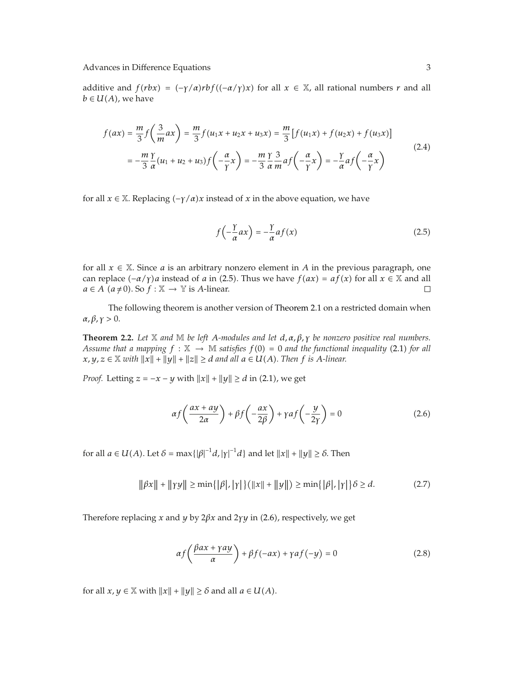Advances in Difference Equations 3

additive and  $f(rbx) = (-\gamma/a)rbf((-\alpha/\gamma)x)$  for all  $x \in \mathbb{X}$ , all rational numbers *r* and all  $b \in U(A)$ , we have

$$
f(ax) = \frac{m}{3}f\left(\frac{3}{m}ax\right) = \frac{m}{3}f(u_1x + u_2x + u_3x) = \frac{m}{3}[f(u_1x) + f(u_2x) + f(u_3x)]
$$
  

$$
= -\frac{m}{3}\frac{\gamma}{\alpha}(u_1 + u_2 + u_3)f\left(-\frac{\alpha}{\gamma}x\right) = -\frac{m}{3}\frac{\gamma}{\alpha}\frac{3}{m}af\left(-\frac{\alpha}{\gamma}x\right) = -\frac{\gamma}{\alpha}af\left(-\frac{\alpha}{\gamma}x\right)
$$
(2.4)

for all  $x \in X$ . Replacing  $(-\gamma/\alpha)x$  instead of x in the above equation, we have

$$
f\left(-\frac{\gamma}{\alpha}ax\right) = -\frac{\gamma}{\alpha}af(x)
$$
\n(2.5)

for all  $x \in \mathbb{X}$ . Since *a* is an arbitrary nonzero element in *A* in the previous paragraph, one can replace  $(-\alpha/\gamma)a$  instead of *a* in (2.5). Thus we have  $f(ax) = af(x)$  for all  $x \in \mathbb{X}$  and all  $a \in A$  ( $a \neq 0$ ). So  $f : \mathbb{X} \to \mathbb{Y}$  is *A*-linear.  $a \in A$  ( $a \neq 0$ ). So  $f : \mathbb{X} \to \mathbb{Y}$  is *A*-linear.

The following theorem is another version of Theorem 2.1 on a restricted domain when  $\alpha, \beta, \gamma > 0$ .

**Theorem 2.2.** *Let* X *and* M *be left A-modules and let d, α, β, γ be nonzero positive real numbers. Assume that a mapping*  $f : \mathbb{X} \to \mathbb{M}$  *satisfies*  $f(0) = 0$  *and the functional inequality* (2.1) *for all*  $x, y, z \in \mathbb{X}$  with  $||x|| + ||y|| + ||z|| \ge d$  and all  $a \in U(A)$ . Then  $f$  is A-linear.

*Proof.* Letting  $z = -x - y$  with  $||x|| + ||y|| \ge d$  in (2.1), we get

$$
\alpha f\left(\frac{ax+ay}{2\alpha}\right) + \beta f\left(-\frac{ax}{2\beta}\right) + \gamma af\left(-\frac{y}{2\gamma}\right) = 0\tag{2.6}
$$

for all  $a \in U(A)$ . Let  $\delta = \max\{|\beta|^{-1}d, |\gamma|^{-1}d\}$  and let  $||x|| + ||y|| \ge \delta$ . Then

$$
\|\beta x\| + \|\gamma y\| \ge \min\{|\beta|, |\gamma|\} (\|x\| + \|y\|) \ge \min\{|\beta|, |\gamma|\} \delta \ge d. \tag{2.7}
$$

Therefore replacing *x* and *y* by  $2\beta x$  and  $2\gamma y$  in (2.6), respectively, we get

$$
\alpha f\left(\frac{\beta ax + \gamma ay}{\alpha}\right) + \beta f(-ax) + \gamma af(-y) = 0\tag{2.8}
$$

for all  $x, y \in \mathbb{X}$  with  $||x|| + ||y|| \ge \delta$  and all  $a \in U(A)$ .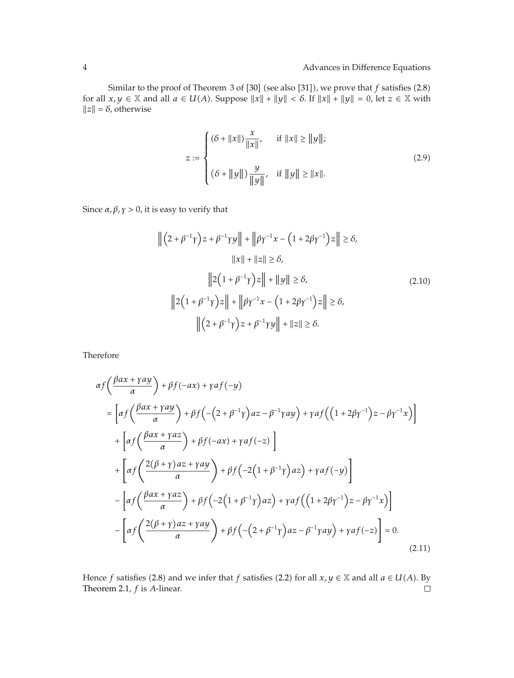Similar to the proof of Theorem 3 of  $[30]$  (see also  $[31]$ ), we prove that  $f$  satisfies  $(2.8)$ for all  $x, y \in \mathbb{X}$  and all  $a \in U(A)$ . Suppose  $||x|| + ||y|| < \delta$ . If  $||x|| + ||y|| = 0$ , let  $z \in \mathbb{X}$  with  $||z|| = \delta$ , otherwise

$$
z := \begin{cases} (\delta + ||x||) \frac{x}{||x||}, & \text{if } ||x|| \ge ||y||; \\ \\ (\delta + ||y||) \frac{y}{||y||}, & \text{if } ||y|| \ge ||x||. \end{cases}
$$
(2.9)

Since  $\alpha$ ,  $\beta$ ,  $\gamma$  > 0, it is easy to verify that

$$
\left\| (2 + \beta^{-1} \gamma) z + \beta^{-1} \gamma y \right\| + \left\| \beta \gamma^{-1} x - (1 + 2\beta \gamma^{-1}) z \right\| \ge \delta,
$$
  
\n
$$
\|x\| + \|z\| \ge \delta,
$$
  
\n
$$
\left\| 2(1 + \beta^{-1} \gamma) z \right\| + \|y\| \ge \delta,
$$
  
\n
$$
\left\| 2(1 + \beta^{-1} \gamma) z \right\| + \left\| \beta \gamma^{-1} x - (1 + 2\beta \gamma^{-1}) z \right\| \ge \delta,
$$
  
\n
$$
\left\| (2 + \beta^{-1} \gamma) z + \beta^{-1} \gamma y \right\| + \|z\| \ge \delta.
$$
  
\n(2.10)

Therefore

$$
\alpha f\left(\frac{\beta ax + \gamma ay}{\alpha}\right) + \beta f(-ax) + \gamma af(-y)
$$
\n
$$
= \left[ \alpha f\left(\frac{\beta ax + \gamma ay}{\alpha}\right) + \beta f\left(-\left(2 + \beta^{-1}\gamma\right)az - \beta^{-1}\gamma ay\right) + \gamma af\left(\left(1 + 2\beta\gamma^{-1}\right)z - \beta\gamma^{-1}x\right) \right] + \left[ \alpha f\left(\frac{\beta ax + \gamma az}{\alpha}\right) + \beta f(-ax) + \gamma af(-z) \right] + \left[ \alpha f\left(\frac{2(\beta + \gamma)az + \gamma ay}{\alpha}\right) + \beta f\left(-2\left(1 + \beta^{-1}\gamma\right)az\right) + \gamma af(-y) \right] - \left[ \alpha f\left(\frac{\beta ax + \gamma az}{\alpha}\right) + \beta f\left(-2\left(1 + \beta^{-1}\gamma\right)az\right) + \gamma af\left(\left(1 + 2\beta\gamma^{-1}\right)z - \beta\gamma^{-1}x\right) \right] - \left[ \alpha f\left(\frac{2(\beta + \gamma)az + \gamma ay}{\alpha}\right) + \beta f\left(-\left(2 + \beta^{-1}\gamma\right)az - \beta^{-1}\gamma ay\right) + \gamma af(-z) \right] = 0. \tag{2.11}
$$

Hence *f* satisfies (2.8) and we infer that *f* satisfies (2.2) for all *x*, *y* ∈ X and all *a* ∈ *U*(*A*). By Theorem 2.1, *f* is *A*-linear. Theorem 2.1, *f* is *A*-linear.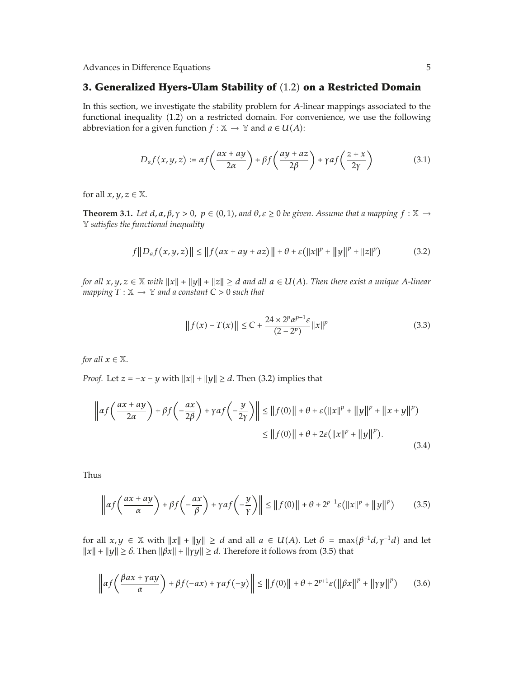Advances in Difference Equations 5

#### **3. Generalized Hyers-Ulam Stability of** 1.2 **on a Restricted Domain**

In this section, we investigate the stability problem for *A*-linear mappings associated to the functional inequality (1.2) on a restricted domain. For convenience, we use the following abbreviation for a given function *f* :  $X \rightarrow Y$  and  $a \in U(A)$ :

$$
D_{a}f(x,y,z) := \alpha f\left(\frac{ax+ay}{2\alpha}\right) + \beta f\left(\frac{ay+az}{2\beta}\right) + \gamma af\left(\frac{z+x}{2\gamma}\right)
$$
(3.1)

for all  $x, y, z \in \mathbb{X}$ .

**Theorem 3.1.** *Let*  $d, \alpha, \beta, \gamma > 0$ ,  $p \in (0, 1)$ , and  $\theta, \varepsilon \ge 0$  be given. Assume that a mapping  $f : \mathbb{X} \to$ Y *satisfies the functional inequality*

$$
f||D_a f(x, y, z)|| \le ||f(ax + ay + az)|| + \theta + \varepsilon(||x||^p + ||y||^p + ||z||^p)
$$
 (3.2)

*for all*  $x, y, z \in \mathbb{X}$  with  $||x|| + ||y|| + ||z|| \geq d$  and all  $a \in U(A)$ . Then there exist a unique A-linear *mapping*  $T : \mathbb{X} \to \mathbb{Y}$  and a constant  $C > 0$  such that

$$
|| f(x) - T(x)|| \le C + \frac{24 \times 2^{p} \alpha^{p-1} \varepsilon}{(2 - 2^{p})} ||x||^{p}
$$
\n(3.3)

*for all*  $x \in \mathbb{X}$ *.* 

*Proof.* Let  $z = -x - y$  with  $||x|| + ||y|| \ge d$ . Then (3.2) implies that

$$
\left\| \alpha f\left(\frac{ax+ay}{2\alpha}\right) + \beta f\left(-\frac{ax}{2\beta}\right) + \gamma a f\left(-\frac{y}{2\gamma}\right) \right\| \le \left\| f(0) \right\| + \theta + \varepsilon \left( \|x\|^p + \|y\|^p + \|x+y\|^p \right) \le \left\| f(0) \right\| + \theta + 2\varepsilon \left( \|x\|^p + \|y\|^p \right). \tag{3.4}
$$

Thus

$$
\left\| \alpha f\left(\frac{ax+ay}{\alpha}\right) + \beta f\left(-\frac{ax}{\beta}\right) + \gamma a f\left(-\frac{y}{\gamma}\right) \right\| \le \left\| f(0) \right\| + \theta + 2^{p+1} \varepsilon \left( \|x\|^p + \|y\|^p \right) \tag{3.5}
$$

for all  $x, y \in \mathbb{X}$  with  $||x|| + ||y|| \ge d$  and all  $a \in U(A)$ . Let  $\delta = \max{\{\beta^{-1}d, \gamma^{-1}d\}}$  and let  $||x|| + ||y|| \ge \delta$ . Then  $||\beta x|| + ||\gamma y|| \ge d$ . Therefore it follows from (3.5) that

$$
\left\| \alpha f\left(\frac{\beta ax + \gamma ay}{\alpha}\right) + \beta f(-ax) + \gamma af(-y) \right\| \le \|f(0)\| + \theta + 2^{p+1}\varepsilon (\|\beta x\|^p + \|\gamma y\|^p) \tag{3.6}
$$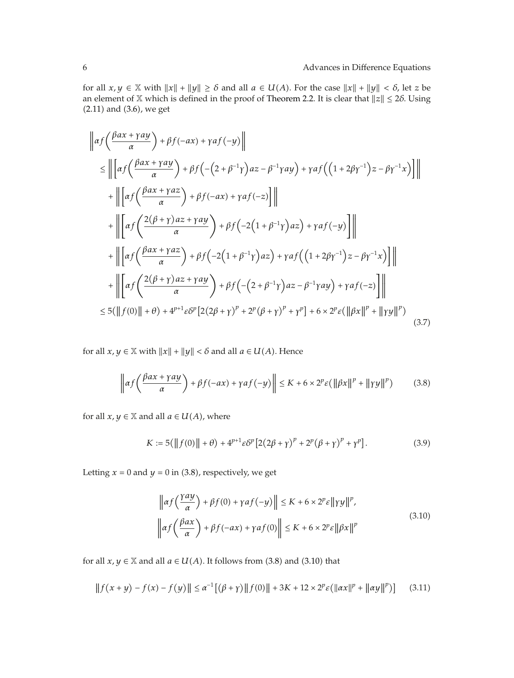for all  $x, y \in \mathbb{X}$  with  $||x|| + ||y|| \ge \delta$  and all  $a \in U(A)$ . For the case  $||x|| + ||y|| < \delta$ , let *z* be an element of  $X$  which is defined in the proof of Theorem 2.2. It is clear that  $||z|| \le 2\delta$ . Using  $(2.11)$  and  $(3.6)$ , we get

$$
\|af\left(\frac{\beta ax+ray}{\alpha}\right)+\beta f(-ax)+\gamma af(-y)\|
$$
\n
$$
\leq \|\left[a f\left(\frac{\beta ax+ray}{\alpha}\right)+\beta f\left(-(2+\beta^{-1}\gamma)az-\beta^{-1}\gamma ay\right)+\gamma af\left((1+2\beta\gamma^{-1})z-\beta\gamma^{-1}x\right)\right]\|
$$
\n
$$
+\|\left[a f\left(\frac{\beta ax+\gamma az}{\alpha}\right)+\beta f(-ax)+\gamma af(-z)\right]\|
$$
\n
$$
+\|\left[a f\left(\frac{2(\beta+\gamma)az+\gamma ay}{\alpha}\right)+\beta f\left(-2(1+\beta^{-1}\gamma)az\right)+\gamma af(-y)\right]\|
$$
\n
$$
+\|\left[a f\left(\frac{\beta ax+\gamma az}{\alpha}\right)+\beta f\left(-2(1+\beta^{-1}\gamma)az\right)+\gamma af\left((1+2\beta\gamma^{-1})z-\beta\gamma^{-1}x\right)\right]\|
$$
\n
$$
+\|\left[a f\left(\frac{2(\beta+\gamma)az+\gamma ay}{\alpha}\right)+\beta f\left(-(2+\beta^{-1}\gamma)az-\beta^{-1}\gamma ay\right)+\gamma af(-z)\right]\|
$$
\n
$$
\leq 5(\|f(0)\|+\theta)+4^{p+1}\varepsilon \delta^{p}\left[2(2\beta+\gamma)^{p}+2^{p}(\beta+\gamma)^{p}+\gamma^{p}\right]+6\times 2^{p}\varepsilon(\|\beta x\|^{p}+\|\gamma y\|^{p}) \qquad (3.7)
$$

for all  $x, y \in \mathbb{X}$  with  $||x|| + ||y|| < \delta$  and all  $a \in U(A)$ . Hence

$$
\left\| \alpha f\left(\frac{\beta ax + \gamma ay}{\alpha}\right) + \beta f(-ax) + \gamma af(-y) \right\| \le K + 6 \times 2^p \varepsilon \left( \left\| \beta x \right\|^p + \left\| \gamma y \right\|^p \right) \tag{3.8}
$$

for all  $x, y \in \mathbb{X}$  and all  $a \in U(A)$ , where

$$
K := 5(||f(0)|| + \theta) + 4^{p+1} \varepsilon \delta^p [2(2\beta + \gamma)^p + 2^p (\beta + \gamma)^p + \gamma^p].
$$
 (3.9)

Letting  $x = 0$  and  $y = 0$  in (3.8), respectively, we get

$$
\left\| \alpha f\left(\frac{y\alpha y}{\alpha}\right) + \beta f(0) + \gamma \alpha f(-y) \right\| \le K + 6 \times 2^p \varepsilon \| \gamma y \|^p,
$$
  

$$
\left\| \alpha f\left(\frac{\beta \alpha x}{\alpha}\right) + \beta f(-\alpha x) + \gamma \alpha f(0) \right\| \le K + 6 \times 2^p \varepsilon \|\beta x\|^p
$$
 (3.10)

for all  $x, y \in \mathbb{X}$  and all  $a \in U(A)$ . It follows from (3.8) and (3.10) that

$$
|| f (x + y) - f (x) - f (y)|| \le \alpha^{-1} [(\beta + \gamma) || f(0) || + 3K + 12 \times 2^{p} \varepsilon (||\alpha x||^{p} + ||\alpha y||^{p})]
$$
(3.11)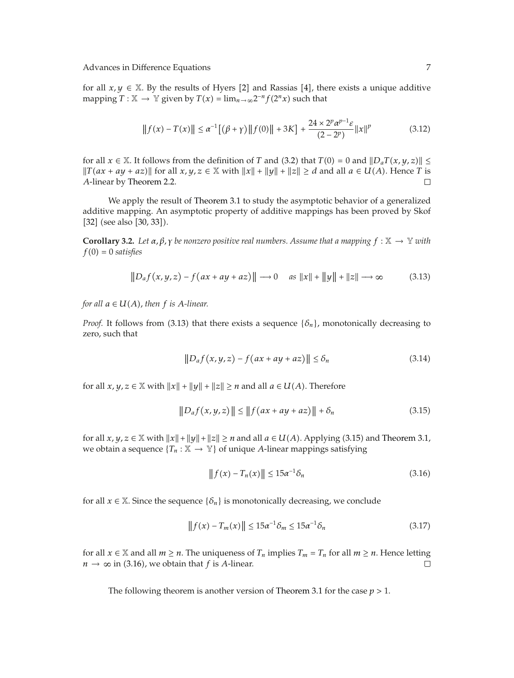for all  $x, y \in \mathbb{X}$ . By the results of Hyers [2] and Rassias [4], there exists a unique additive mapping  $T : \mathbb{X} \to \mathbb{Y}$  given by  $T(x) = \lim_{n \to \infty} 2^{-n} f(2^n x)$  such that

$$
|| f(x) - T(x)|| \le \alpha^{-1} [(\beta + \gamma) || f(0) || + 3K] + \frac{24 \times 2^{p} \alpha^{p-1} \varepsilon}{(2 - 2^{p})} ||x||^{p}
$$
(3.12)

for all  $x \in \mathbb{X}$ . It follows from the definition of *T* and (3.2) that  $T(0) = 0$  and  $||D_aT(x, y, z)|| \le$  $||T(ax + ay + az)||$  for all  $x, y, z \in \mathbb{X}$  with  $||x|| + ||y|| + ||z|| \ge d$  and all  $a \in U(A)$ . Hence *T* is *A*-linear by Theorem 2.2.

We apply the result of Theorem 3.1 to study the asymptotic behavior of a generalized additive mapping. An asymptotic property of additive mappings has been proved by Skof  $[32]$  (see also  $[30, 33]$ ).

**Corollary 3.2.** *Let*  $\alpha, \beta, \gamma$  *be nonzero positive real numbers. Assume that a mapping*  $f : \mathbb{X} \to \mathbb{Y}$  *with*  $f(0) = 0$  *satisfies* 

$$
||Daf(x,y,z) - f(ax+ay+az)|| \rightarrow 0 \quad \text{as } ||x|| + ||y|| + ||z|| \rightarrow \infty \tag{3.13}
$$

*for all*  $a \in U(A)$ *, then*  $f$  *is*  $A$ *-linear.* 

*Proof.* It follows from (3.13) that there exists a sequence  $\{\delta_n\}$ , monotonically decreasing to zero, such that

$$
||D_a f(x, y, z) - f(ax + ay + az)|| \le \delta_n
$$
\n(3.14)

for all  $x, y, z \in \mathbb{X}$  with  $||x|| + ||y|| + ||z|| \ge n$  and all  $a \in U(A)$ . Therefore

$$
||D_a f(x, y, z)|| \le ||f(ax + ay + az)|| + \delta_n
$$
 (3.15)

for all  $x, y, z \in \mathbb{X}$  with  $||x|| + ||y|| + ||z|| \ge n$  and all  $a \in U(A)$ . Applying (3.15) and Theorem 3.1, we obtain a sequence  ${T_n : \mathbb{X} \to \mathbb{Y}}$  of unique *A*-linear mappings satisfying

$$
\|f(x) - T_n(x)\| \le 15\alpha^{-1}\delta_n \tag{3.16}
$$

for all  $x \in \mathbb{X}$ . Since the sequence  $\{\delta_n\}$  is monotonically decreasing, we conclude

$$
||f(x) - T_m(x)|| \le 15\alpha^{-1}\delta_m \le 15\alpha^{-1}\delta_n
$$
\n(3.17)

for all  $x \in \mathbb{X}$  and all  $m \ge n$ . The uniqueness of  $T_n$  implies  $T_m = T_n$  for all  $m \ge n$ . Hence letting  $n \to \infty$  in (3.16), we obtain that f is A-linear  $n \rightarrow \infty$  in (3.16), we obtain that *f* is *A*-linear.

The following theorem is another version of Theorem 3.1 for the case *p >* 1*.*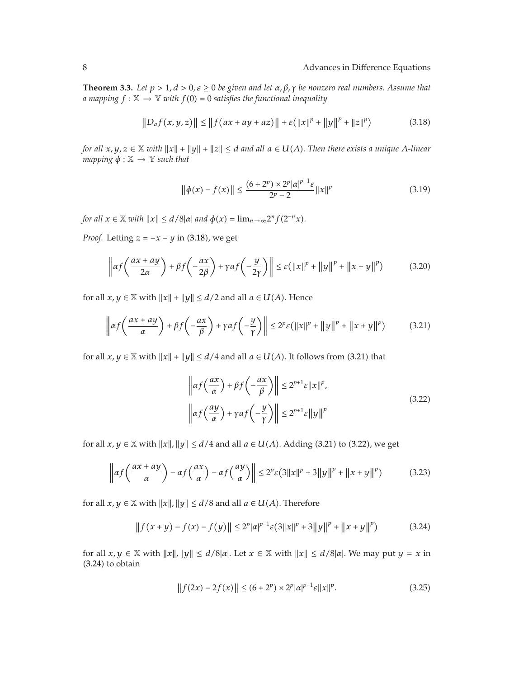**Theorem 3.3.** *Let <i>be given and let*  $α, β, γ$  *be nonzero real numbers. Assume that a* mapping  $f : \mathbb{X} \to \mathbb{Y}$  with  $f(0) = 0$  satisfies the functional inequality

$$
||D_a f(x, y, z)|| \le ||f(ax + ay + az)|| + \varepsilon (||x||^p + ||y||^p + ||z||^p)
$$
 (3.18)

*for all*  $x, y, z \in \mathbb{X}$  with  $||x|| + ||y|| + ||z|| \leq d$  and all  $a \in U(A)$ . Then there exists a unique A-linear *mapping*  $\phi : \mathbb{X} \to \mathbb{Y}$  *such that* 

$$
\|\phi(x) - f(x)\| \le \frac{(6+2^p) \times 2^p |\alpha|^{p-1} \varepsilon}{2^p - 2} \|x\|^p \tag{3.19}
$$

*for all*  $x \in \mathbb{X}$  *with*  $||x|| \le d/8|a|$  *and*  $\phi(x) = \lim_{n \to \infty} 2^n f(2^{-n}x)$ *.* 

*Proof.* Letting  $z = -x - y$  in (3.18), we get

$$
\left\| \alpha f\left(\frac{ax+ay}{2\alpha}\right) + \beta f\left(-\frac{ax}{2\beta}\right) + \gamma a f\left(-\frac{y}{2\gamma}\right) \right\| \le \varepsilon \left(\|x\|^p + \|y\|^p + \|x+y\|^p\right) \tag{3.20}
$$

for all  $x, y \in \mathbb{X}$  with  $||x|| + ||y|| \le d/2$  and all  $a \in U(A)$ . Hence

$$
\left\| \alpha f\left(\frac{ax+ay}{\alpha}\right) + \beta f\left(-\frac{ax}{\beta}\right) + \gamma a f\left(-\frac{y}{\gamma}\right) \right\| \le 2^p \varepsilon \left(\|x\|^p + \|y\|^p + \|x+y\|^p\right) \tag{3.21}
$$

for all  $x, y \in \mathbb{X}$  with  $||x|| + ||y|| \le d/4$  and all  $a \in U(A)$ . It follows from (3.21) that

$$
\left\| \alpha f\left(\frac{ax}{\alpha}\right) + \beta f\left(-\frac{ax}{\beta}\right) \right\| \le 2^{p+1} \varepsilon \|x\|^p,
$$
\n
$$
\left\| \alpha f\left(\frac{ay}{\alpha}\right) + \gamma a f\left(-\frac{y}{\gamma}\right) \right\| \le 2^{p+1} \varepsilon \|y\|^p
$$
\n(3.22)

for all  $x, y \in \mathbb{X}$  with  $||x||, ||y|| \le d/4$  and all  $a \in U(A)$ . Adding (3.21) to (3.22), we get

$$
\left\| \alpha f\left(\frac{ax+ay}{\alpha}\right) - \alpha f\left(\frac{ax}{\alpha}\right) - \alpha f\left(\frac{ay}{\alpha}\right) \right\| \le 2^p \varepsilon (3||x||^p + 3||y||^p + ||x+y||^p) \tag{3.23}
$$

for all  $x, y \in \mathbb{X}$  with  $||x||, ||y|| \le d/8$  and all  $a \in U(A)$ . Therefore

$$
|| f (x + y) - f (x) - f (y)|| \le 2^p |\alpha|^{p-1} \varepsilon (3||x||^p + 3||y||^p + ||x + y||^p)
$$
 (3.24)

for all  $x, y \in \mathbb{X}$  with  $||x||, ||y|| \le d/8|a|$ . Let  $x \in \mathbb{X}$  with  $||x|| \le d/8|a|$ . We may put  $y = x$  in  $(3.24)$  to obtain

$$
|| f(2x) - 2f(x)|| \le (6 + 2^p) \times 2^p |a|^{p-1} \varepsilon ||x||^p.
$$
 (3.25)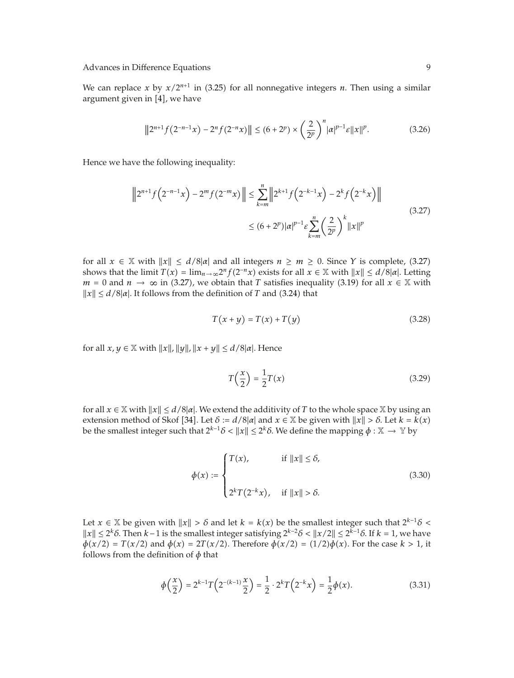#### Advances in Difference Equations 9

We can replace *x* by  $x/2^{n+1}$  in (3.25) for all nonnegative integers *n*. Then using a similar argument given in  $[4]$ , we have

$$
||2^{n+1}f(2^{-n-1}x) - 2^{n}f(2^{-n}x)|| \le (6+2^{p}) \times \left(\frac{2}{2^{p}}\right)^{n} |a|^{p-1} \varepsilon ||x||^{p}.
$$
 (3.26)

Hence we have the following inequality:

$$
\|2^{n+1}f(2^{-n-1}x) - 2^m f(2^{-m}x)\| \le \sum_{k=m}^n \left\|2^{k+1}f(2^{-k-1}x) - 2^k f(2^{-k}x)\right\|
$$
  
 
$$
\le (6+2^p)|\alpha|^{p-1}\varepsilon \sum_{k=m}^n \left(\frac{2}{2^p}\right)^k \|x\|^p
$$
 (3.27)

for all  $x \in \mathbb{X}$  with  $||x|| \le d/8|\alpha|$  and all integers  $n \ge m \ge 0$ . Since *Y* is complete, (3.27) shows that the limit  $T(x) = \lim_{n \to \infty} 2^n f(2^{-n}x)$  exists for all  $x \in \mathbb{X}$  with  $||x|| \le d/8 |\alpha|$ . Letting *m* = 0 and *n* → ∞ in (3.27), we obtain that *T* satisfies inequality (3.19) for all  $x \in \mathbb{X}$  with  $||x|| \le d/8|a|$ . It follows from the definition of *T* and (3.24) that

$$
T(x+y) = T(x) + T(y) \tag{3.28}
$$

for all  $x, y \in \mathbb{X}$  with  $||x||, ||y||, ||x + y|| \leq d/8|\alpha|$ . Hence

$$
T\left(\frac{x}{2}\right) = \frac{1}{2}T(x) \tag{3.29}
$$

for all  $x \in \mathbb{X}$  with  $||x|| \le d/8|\alpha|$ . We extend the additivity of *T* to the whole space  $\mathbb{X}$  by using an extension method of Skof [34]. Let  $\delta := d/8|\alpha|$  and  $x \in \mathbb{X}$  be given with  $||x|| > \delta$ . Let  $k = k(x)$ be the smallest integer such that  $2^{k-1}\delta < ||x|| \le 2^k\delta$ . We define the mapping  $\phi : \mathbb{X} \to \mathbb{Y}$  by

$$
\phi(x) := \begin{cases} T(x), & \text{if } ||x|| \le \delta, \\ 2^k T(2^{-k}x), & \text{if } ||x|| > \delta. \end{cases} \tag{3.30}
$$

Let  $x \in \mathbb{X}$  be given with  $||x|| > \delta$  and let  $k = k(x)$  be the smallest integer such that  $2^{k-1}\delta$  <  $||x||$  ≤ 2<sup>*k*</sup>δ. Then *k*−1 is the smallest integer satisfying 2<sup>*k*−2</sup>*δ* <  $||x/2||$  ≤ 2<sup>*k*−1</sup>*δ*. If *k* = 1, we have *φ*(*x*/2) = *T*(*x*/2) and *φ*(*x*) = 2*T*(*x*/2). Therefore *φ*(*x*/2) = (1/2)*φ*(*x*). For the case *k* > 1, it follows from the definition of *φ* that

$$
\phi\left(\frac{x}{2}\right) = 2^{k-1}T\left(2^{-(k-1)}\frac{x}{2}\right) = \frac{1}{2} \cdot 2^k T\left(2^{-k}x\right) = \frac{1}{2}\phi(x). \tag{3.31}
$$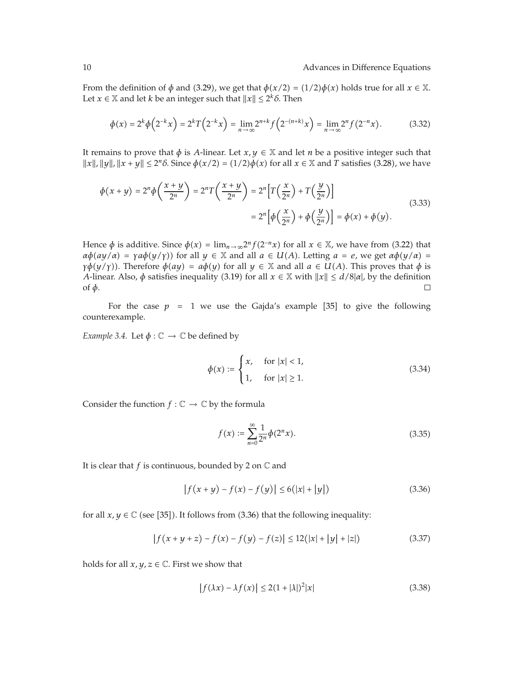From the definition of  $\phi$  and (3.29), we get that  $\phi(x/2) = (1/2)\phi(x)$  holds true for all  $x \in \mathbb{X}$ . Let *x*  $\in$  *X* and let *k* be an integer such that  $||x|| \le 2^k \delta$ . Then

$$
\phi(x) = 2^k \phi\left(2^{-k} x\right) = 2^k T\left(2^{-k} x\right) = \lim_{n \to \infty} 2^{n+k} f\left(2^{-(n+k)} x\right) = \lim_{n \to \infty} 2^n f\left(2^{-n} x\right). \tag{3.32}
$$

It remains to prove that  $\phi$  is *A*-linear. Let  $x, y \in \mathbb{X}$  and let *n* be a positive integer such that  $||x||$ ,  $||y||$ ,  $||x + y|| \le 2^n \delta$ . Since  $\phi(x/2) = (1/2)\phi(x)$  for all  $x \in \mathbb{X}$  and *T* satisfies (3.28), we have

$$
\phi(x+y) = 2^n \phi\left(\frac{x+y}{2^n}\right) = 2^n T\left(\frac{x+y}{2^n}\right) = 2^n \left[T\left(\frac{x}{2^n}\right) + T\left(\frac{y}{2^n}\right)\right]
$$
\n
$$
= 2^n \left[\phi\left(\frac{x}{2^n}\right) + \phi\left(\frac{y}{2^n}\right)\right] = \phi(x) + \phi(y).
$$
\n(3.33)

Hence  $\phi$  is additive. Since  $\phi(x) = \lim_{n \to \infty} 2^n f(2^{-n}x)$  for all  $x \in \mathbb{X}$ , we have from (3.22) that  $\alpha \phi(ay/\alpha) = \gamma a \phi(y/\gamma)$  for all  $y \in \mathbb{X}$  and all  $a \in U(A)$ . Letting  $a = e$ , we get  $\alpha \phi(y/\alpha) =$ *γ* $\phi$ (*y*/*γ*)). Therefore  $\phi(ay) = a\phi(y)$  for all  $y \in \mathbb{X}$  and all  $a \in U(A)$ . This proves that  $\phi$  is *A*-linear. Also,  $\phi$  satisfies inequality (3.19) for all  $x \in \mathbb{X}$  with  $||x|| \le d/8|a|$ , by the definition of *φ*.

For the case  $p = 1$  we use the Gajda's example [35] to give the following counterexample.

*Example 3.4.* Let  $\phi : \mathbb{C} \to \mathbb{C}$  be defined by

$$
\phi(x) := \begin{cases} x, & \text{for } |x| < 1, \\ 1, & \text{for } |x| \ge 1. \end{cases}
$$
 (3.34)

Consider the function  $f: \mathbb{C} \to \mathbb{C}$  by the formula

$$
f(x) := \sum_{n=0}^{\infty} \frac{1}{2^n} \phi(2^n x).
$$
 (3.35)

It is clear that  $f$  is continuous, bounded by 2 on  $\mathbb C$  and

$$
|f(x + y) - f(x) - f(y)| \le 6(|x| + |y|)
$$
\n(3.36)

for all  $x, y \in \mathbb{C}$  (see [35]). It follows from (3.36) that the following inequality:

$$
|f(x + y + z) - f(x) - f(y) - f(z)| \le 12(|x| + |y| + |z|)
$$
 (3.37)

holds for all  $x, y, z \in \mathbb{C}$ . First we show that

$$
\left| f(\lambda x) - \lambda f(x) \right| \le 2(1 + |\lambda|)^2 |x| \tag{3.38}
$$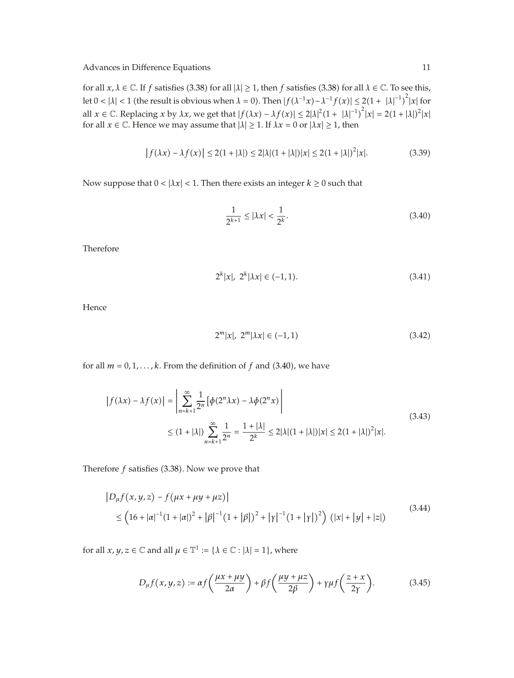for all  $x, \lambda \in \mathbb{C}$ . If *f* satisfies (3.38) for all  $|\lambda| \ge 1$ , then *f* satisfies (3.38) for all  $\lambda \in \mathbb{C}$ . To see this, let  $0 < |\lambda| < 1$  (the result is obvious when  $\lambda = 0$ ). Then  $|f(\lambda^{-1}x) - \lambda^{-1}f(x)| \leq 2(1 + |\lambda|^{-1})^2 |x|$  for all  $x \in \mathbb{C}$ . Replacing  $x$  by  $\lambda x$ , we get that  $|f(\lambda x) - \lambda f(x)| \leq 2|\lambda|^2 (1 + |\lambda|^{-1})^2 |x| = 2(1 + |\lambda|)^2 |x|$ for all  $x \in \mathbb{C}$ . Hence we may assume that  $|\lambda| \geq 1$ . If  $\lambda x = 0$  or  $|\lambda x| \geq 1$ , then

$$
|f(\lambda x) - \lambda f(x)| \le 2(1 + |\lambda|) \le 2|\lambda|(1 + |\lambda|)|x| \le 2(1 + |\lambda|)^2|x|. \tag{3.39}
$$

Now suppose that  $0 < |\lambda x| < 1$ . Then there exists an integer  $k \ge 0$  such that

$$
\frac{1}{2^{k+1}} \le |\lambda x| < \frac{1}{2^k}.\tag{3.40}
$$

Therefore

$$
2^{k}|x|, 2^{k}|\lambda x| \in (-1, 1). \tag{3.41}
$$

Hence

$$
2^{m}|x|, 2^{m}|\lambda x| \in (-1, 1)
$$
\n(3.42)

for all  $m = 0, 1, \ldots, k$ . From the definition of  $f$  and (3.40), we have

$$
\begin{aligned} \left| f(\lambda x) - \lambda f(x) \right| &= \left| \sum_{n=k+1}^{\infty} \frac{1}{2^n} \left[ \phi(2^n \lambda x) - \lambda \phi(2^n x) \right| \right. \\ &\leq (1 + |\lambda|) \sum_{n=k+1}^{\infty} \frac{1}{2^n} = \frac{1 + |\lambda|}{2^k} \leq 2|\lambda| (1 + |\lambda|) |x| \leq 2(1 + |\lambda|)^2 |x|. \end{aligned} \tag{3.43}
$$

Therefore  $f$  satisfies  $(3.38)$ . Now we prove that

$$
|D_{\mu}f(x,y,z) - f(\mu x + \mu y + \mu z)|
$$
  
\n
$$
\leq (16 + |\alpha|^{-1}(1 + |\alpha|)^2 + |\beta|^{-1}(1 + |\beta|)^2 + |\gamma|^{-1}(1 + |\gamma|)^2) (|x| + |y| + |z|)
$$
\n(3.44)

for all  $x, y, z \in \mathbb{C}$  and all  $\mu \in \mathbb{T}^1 := {\lambda \in \mathbb{C} : |\lambda| = 1}$ *,* where

$$
D_{\mu}f(x,y,z) := \alpha f\left(\frac{\mu x + \mu y}{2\alpha}\right) + \beta f\left(\frac{\mu y + \mu z}{2\beta}\right) + \gamma \mu f\left(\frac{z + x}{2\gamma}\right). \tag{3.45}
$$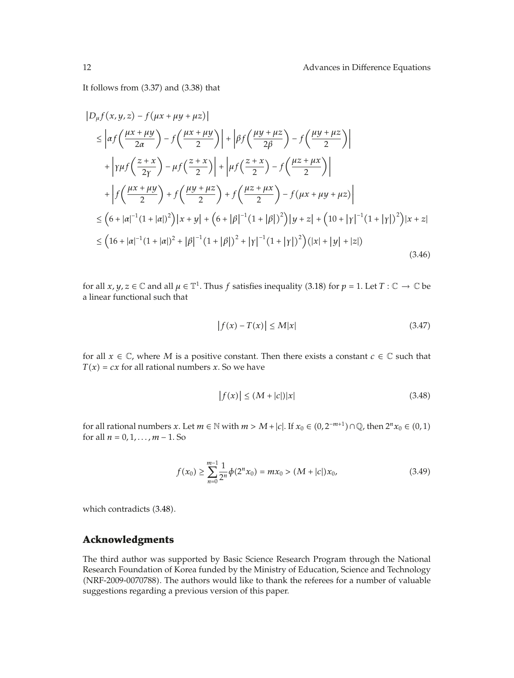It follows from  $(3.37)$  and  $(3.38)$  that

$$
|D_{\mu}f(x,y,z) - f(\mu x + \mu y + \mu z)|
$$
  
\n
$$
\leq \left| \alpha f\left(\frac{\mu x + \mu y}{2\alpha}\right) - f\left(\frac{\mu x + \mu y}{2}\right) \right| + \left| \beta f\left(\frac{\mu y + \mu z}{2\beta}\right) - f\left(\frac{\mu y + \mu z}{2}\right) \right|
$$
  
\n
$$
+ \left| \gamma \mu f\left(\frac{z + x}{2\gamma}\right) - \mu f\left(\frac{z + x}{2}\right) \right| + \left| \mu f\left(\frac{z + x}{2}\right) - f\left(\frac{\mu z + \mu x}{2}\right) \right|
$$
  
\n
$$
+ \left| f\left(\frac{\mu x + \mu y}{2}\right) + f\left(\frac{\mu y + \mu z}{2}\right) + f\left(\frac{\mu z + \mu x}{2}\right) - f(\mu x + \mu y + \mu z) \right|
$$
  
\n
$$
\leq \left( 6 + |\alpha|^{-1} (1 + |\alpha|)^2 \right) |x + y| + \left( 6 + |\beta|^{-1} (1 + |\beta|)^2 \right) |y + z| + \left( 10 + |\gamma|^{-1} (1 + |\gamma|)^2 \right) |x + z|
$$
  
\n
$$
\leq \left( 16 + |\alpha|^{-1} (1 + |\alpha|)^2 + |\beta|^{-1} (1 + |\beta|)^2 + |\gamma|^{-1} (1 + |\gamma|)^2 \right) (|x| + |y| + |z|)
$$
  
\n(3.46)

for all  $x, y, z \in \mathbb{C}$  and all  $\mu \in \mathbb{T}^1$ . Thus *f* satisfies inequality (3.18) for  $p = 1$ . Let  $T : \mathbb{C} \to \mathbb{C}$  be a linear functional such that

$$
|f(x) - T(x)| \le M|x| \tag{3.47}
$$

for all  $x \in \mathbb{C}$ , where *M* is a positive constant. Then there exists a constant  $c \in \mathbb{C}$  such that  $T(x) = cx$  for all rational numbers *x*. So we have

$$
|f(x)| \le (M + |c|)|x| \tag{3.48}
$$

for all rational numbers *x*. Let  $m \in \mathbb{N}$  with  $m > M + |c|$ . If  $x_0 \in (0, 2^{-m+1}) \cap \mathbb{Q}$ , then  $2^n x_0 \in (0, 1)$ for all  $n = 0, 1, \ldots, m - 1$ . So

$$
f(x_0) \ge \sum_{n=0}^{m-1} \frac{1}{2^n} \phi(2^n x_0) = m x_0 > (M + |c|) x_0,
$$
\n(3.49)

which contradicts (3.48).

## **Acknowledgments**

The third author was supported by Basic Science Research Program through the National Research Foundation of Korea funded by the Ministry of Education, Science and Technology (NRF-2009-0070788). The authors would like to thank the referees for a number of valuable suggestions regarding a previous version of this paper.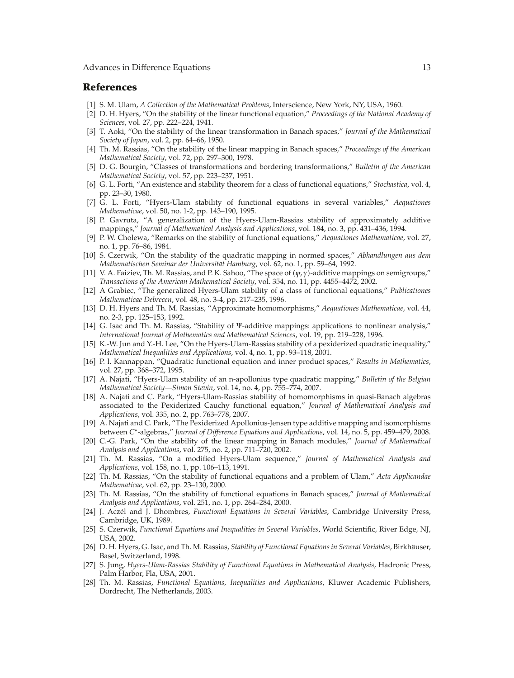#### **References**

- 1 S. M. Ulam, *A Collection of the Mathematical Problems*, Interscience, New York, NY, USA, 1960.
- 2 D. H. Hyers, "On the stability of the linear functional equation," *Proceedings of the National Academy of Sciences*, vol. 27, pp. 222–224, 1941.
- 3 T. Aoki, "On the stability of the linear transformation in Banach spaces," *Journal of the Mathematical Society of Japan*, vol. 2, pp. 64–66, 1950.
- 4 Th. M. Rassias, "On the stability of the linear mapping in Banach spaces," *Proceedings of the American Mathematical Society*, vol. 72, pp. 297–300, 1978.
- 5 D. G. Bourgin, "Classes of transformations and bordering transformations," *Bulletin of the American Mathematical Society*, vol. 57, pp. 223–237, 1951.
- 6 G. L. Forti, "An existence and stability theorem for a class of functional equations," *Stochastica*, vol. 4, pp. 23–30, 1980.
- 7 G. L. Forti, "Hyers-Ulam stability of functional equations in several variables," *Aequationes Mathematicae*, vol. 50, no. 1-2, pp. 143–190, 1995.
- [8] P. Gavruta, "A generalization of the Hyers-Ulam-Rassias stability of approximately additive mappings," *Journal of Mathematical Analysis and Applications*, vol. 184, no. 3, pp. 431–436, 1994.
- 9 P. W. Cholewa, "Remarks on the stability of functional equations," *Aequationes Mathematicae*, vol. 27, no. 1, pp. 76–86, 1984.
- 10 S. Czerwik, "On the stability of the quadratic mapping in normed spaces," *Abhandlungen aus dem Mathematischen Seminar der Universität Hamburg, vol. 62, no. 1, pp. 59–64, 1992.*
- 11 V. A. Faiziev, Th. M. Rassias, and P. K. Sahoo, "The space of *ψ, γ*-additive mappings on semigroups," *Transactions of the American Mathematical Society*, vol. 354, no. 11, pp. 4455–4472, 2002.
- 12 A Grabiec, "The generalized Hyers-Ulam stability of a class of functional equations," *Publicationes Mathematicae Debrecen*, vol. 48, no. 3-4, pp. 217–235, 1996.
- 13 D. H. Hyers and Th. M. Rassias, "Approximate homomorphisms," *Aequationes Mathematicae*, vol. 44, no. 2-3, pp. 125–153, 1992.
- 14 G. Isac and Th. M. Rassias, "Stability of Ψ-additive mappings: applications to nonlinear analysis," *International Journal of Mathematics and Mathematical Sciences*, vol. 19, pp. 219–228, 1996.
- 15 K.-W. Jun and Y.-H. Lee, "On the Hyers-Ulam-Rassias stability of a pexiderized quadratic inequality," *Mathematical Inequalities and Applications*, vol. 4, no. 1, pp. 93–118, 2001.
- 16 P. l. Kannappan, "Quadratic functional equation and inner product spaces," *Results in Mathematics*, vol. 27, pp. 368–372, 1995.
- 17 A. Najati, "Hyers-Ulam stability of an n-apollonius type quadratic mapping," *Bulletin of the Belgian Mathematical Society—Simon Stevin*, vol. 14, no. 4, pp. 755–774, 2007.
- 18 A. Najati and C. Park, "Hyers-Ulam-Rassias stability of homomorphisms in quasi-Banach algebras associated to the Pexiderized Cauchy functional equation," *Journal of Mathematical Analysis and Applications*, vol. 335, no. 2, pp. 763–778, 2007.
- 19 A. Najati and C. Park, "The Pexiderized Apollonius-Jensen type additive mapping and isomorphisms between *C*∗-algebras," *Journal of Difference Equations and Applications*, vol. 14, no. 5, pp. 459–479, 2008.
- 20 C.-G. Park, "On the stability of the linear mapping in Banach modules," *Journal of Mathematical Analysis and Applications*, vol. 275, no. 2, pp. 711–720, 2002.
- 21 Th. M. Rassias, "On a modified Hyers-Ulam sequence," *Journal of Mathematical Analysis and Applications*, vol. 158, no. 1, pp. 106–113, 1991.
- 22 Th. M. Rassias, "On the stability of functional equations and a problem of Ulam," *Acta Applicandae Mathematicae*, vol. 62, pp. 23–130, 2000.
- 23 Th. M. Rassias, "On the stability of functional equations in Banach spaces," *Journal of Mathematical Analysis and Applications*, vol. 251, no. 1, pp. 264–284, 2000.
- [24] J. Aczél and J. Dhombres, *Functional Equations in Several Variables*, Cambridge University Press, Cambridge, UK, 1989.
- 25 S. Czerwik, *Functional Equations and Inequalities in Several Variables*, World Scientific, River Edge, NJ, USA, 2002.
- [26] D. H. Hyers, G. Isac, and Th. M. Rassias, *Stability of Functional Equations in Several Variables*, Birkhäuser, Basel, Switzerland, 1998.
- 27 S. Jung, *Hyers-Ulam-Rassias Stability of Functional Equations in Mathematical Analysis*, Hadronic Press, Palm Harbor, Fla, USA, 2001.
- 28 Th. M. Rassias, *Functional Equations, Inequalities and Applications*, Kluwer Academic Publishers, Dordrecht, The Netherlands, 2003.